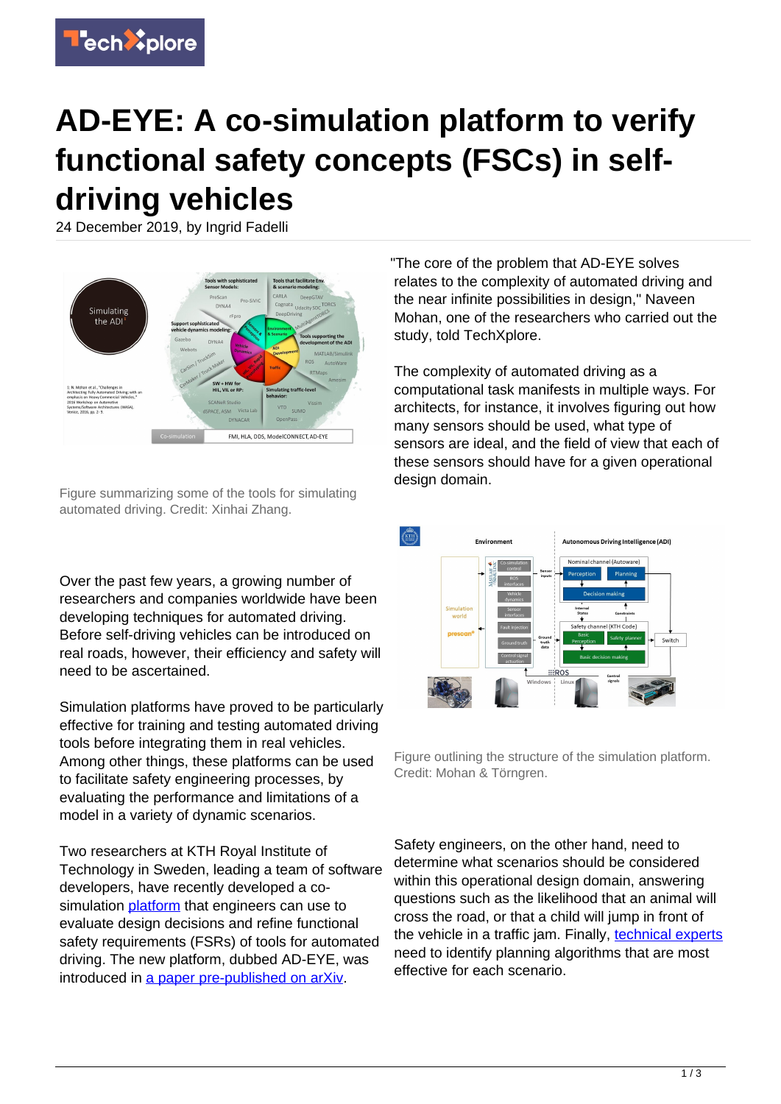

## **AD-EYE: A co-simulation platform to verify functional safety concepts (FSCs) in selfdriving vehicles**

24 December 2019, by Ingrid Fadelli



Figure summarizing some of the tools for simulating automated driving. Credit: Xinhai Zhang.

Over the past few years, a growing number of researchers and companies worldwide have been developing techniques for automated driving. Before self-driving vehicles can be introduced on real roads, however, their efficiency and safety will need to be ascertained.

Simulation platforms have proved to be particularly effective for training and testing automated driving tools before integrating them in real vehicles. Among other things, these platforms can be used to facilitate safety engineering processes, by evaluating the performance and limitations of a model in a variety of dynamic scenarios.

Two researchers at KTH Royal Institute of Technology in Sweden, leading a team of software developers, have recently developed a cosimulation [platform](https://techxplore.com/tags/platform/) that engineers can use to evaluate design decisions and refine functional safety requirements (FSRs) of tools for automated driving. The new platform, dubbed AD-EYE, was introduced in [a paper pre-published on arXiv.](https://arxiv.org/abs/1912.00448)

"The core of the problem that AD-EYE solves relates to the complexity of automated driving and the near infinite possibilities in design," Naveen Mohan, one of the researchers who carried out the study, told TechXplore.

The complexity of automated driving as a computational task manifests in multiple ways. For architects, for instance, it involves figuring out how many sensors should be used, what type of sensors are ideal, and the field of view that each of these sensors should have for a given operational design domain.



Figure outlining the structure of the simulation platform. Credit: Mohan & Törngren.

Safety engineers, on the other hand, need to determine what scenarios should be considered within this operational design domain, answering questions such as the likelihood that an animal will cross the road, or that a child will jump in front of the vehicle in a traffic jam. Finally, [technical experts](https://techxplore.com/tags/technical+experts/) need to identify planning algorithms that are most effective for each scenario.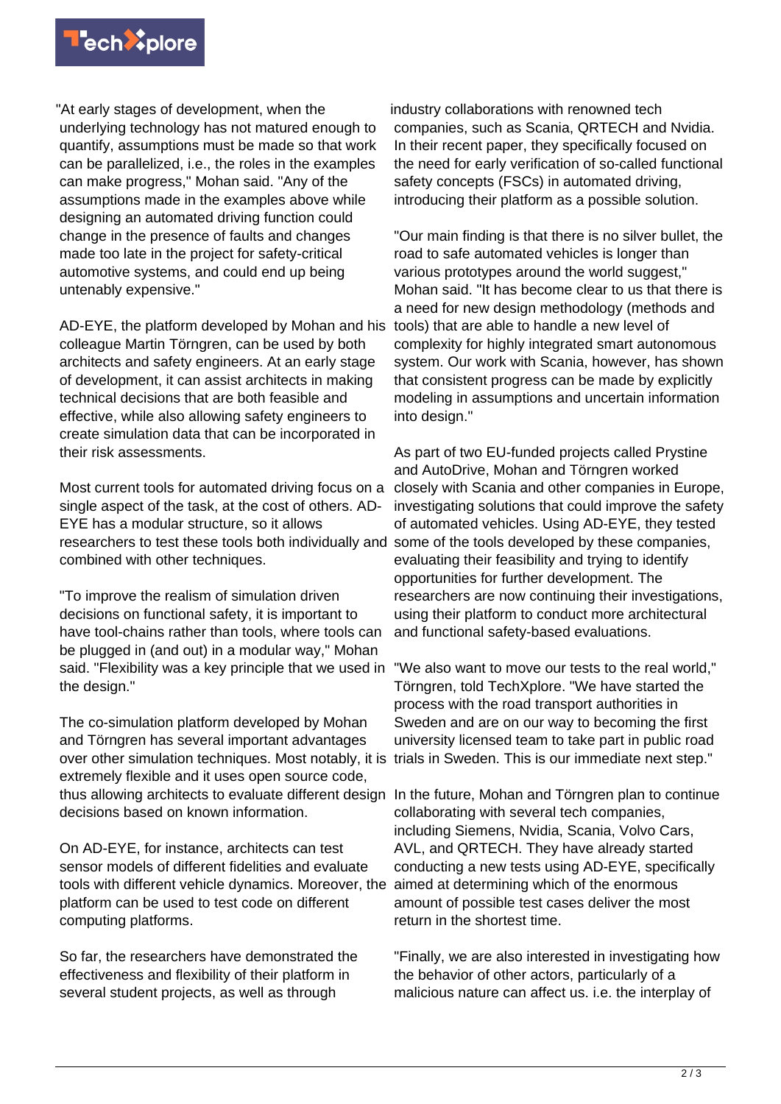

"At early stages of development, when the underlying technology has not matured enough to quantify, assumptions must be made so that work can be parallelized, i.e., the roles in the examples can make progress," Mohan said. "Any of the assumptions made in the examples above while designing an automated driving function could change in the presence of faults and changes made too late in the project for safety-critical automotive systems, and could end up being untenably expensive."

AD-EYE, the platform developed by Mohan and his colleague Martin Törngren, can be used by both architects and safety engineers. At an early stage of development, it can assist architects in making technical decisions that are both feasible and effective, while also allowing safety engineers to create simulation data that can be incorporated in their risk assessments.

Most current tools for automated driving focus on a single aspect of the task, at the cost of others. AD-EYE has a modular structure, so it allows researchers to test these tools both individually and combined with other techniques.

"To improve the realism of simulation driven decisions on functional safety, it is important to have tool-chains rather than tools, where tools can be plugged in (and out) in a modular way," Mohan said. "Flexibility was a key principle that we used in "We also want to move our tests to the real world," the design."

The co-simulation platform developed by Mohan and Törngren has several important advantages over other simulation techniques. Most notably, it is trials in Sweden. This is our immediate next step." extremely flexible and it uses open source code, thus allowing architects to evaluate different design decisions based on known information.

On AD-EYE, for instance, architects can test sensor models of different fidelities and evaluate tools with different vehicle dynamics. Moreover, the platform can be used to test code on different computing platforms.

So far, the researchers have demonstrated the effectiveness and flexibility of their platform in several student projects, as well as through

industry collaborations with renowned tech companies, such as Scania, QRTECH and Nvidia. In their recent paper, they specifically focused on the need for early verification of so-called functional safety concepts (FSCs) in automated driving, introducing their platform as a possible solution.

"Our main finding is that there is no silver bullet, the road to safe automated vehicles is longer than various prototypes around the world suggest." Mohan said. "It has become clear to us that there is a need for new design methodology (methods and tools) that are able to handle a new level of complexity for highly integrated smart autonomous system. Our work with Scania, however, has shown that consistent progress can be made by explicitly modeling in assumptions and uncertain information into design."

As part of two EU-funded projects called Prystine and AutoDrive, Mohan and Törngren worked closely with Scania and other companies in Europe, investigating solutions that could improve the safety of automated vehicles. Using AD-EYE, they tested some of the tools developed by these companies, evaluating their feasibility and trying to identify opportunities for further development. The researchers are now continuing their investigations, using their platform to conduct more architectural and functional safety-based evaluations.

Törngren, told TechXplore. "We have started the process with the road transport authorities in Sweden and are on our way to becoming the first university licensed team to take part in public road

In the future, Mohan and Törngren plan to continue collaborating with several tech companies, including Siemens, Nvidia, Scania, Volvo Cars, AVL, and QRTECH. They have already started conducting a new tests using AD-EYE, specifically aimed at determining which of the enormous amount of possible test cases deliver the most return in the shortest time.

"Finally, we are also interested in investigating how the behavior of other actors, particularly of a malicious nature can affect us. i.e. the interplay of